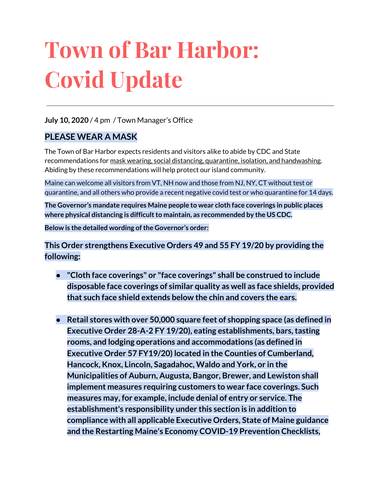# **Town of Bar Harbor: Covid Update**

#### **July 10, 2020** / 4 pm / Town Manager's Office

#### **PLEASE WEAR A MASK**

The Town of Bar Harbor expects residents and visitors alike to abide by CDC and State recommendations for mask wearing, social distancing, quarantine, isolation, and handwashing. Abiding by these recommendations will help protect our island community.

Maine can welcome all visitors from VT, NH now and those from NJ, NY, CT without test or quarantine, and all others who provide a recent negative covid test or who quarantine for 14 days.

**The Governor's mandate requires Maine people to wear cloth face coverings in public places where physical distancing is difficultto maintain, as recommended by the US CDC.**

**Below is the detailed wording ofthe Governor's order:**

**This Order strengthens Executive Orders 49 and 55 FY 19/20 by providing the following:**

- **● "Cloth face coverings" or "face coverings" shall be construed to include disposable face coverings of similar quality as well as face shields, provided that such face shield extends below the chin and covers the ears.**
- **● Retail stores with over 50,000 square feet of shopping space (as defined in Executive Order 28-A-2 FY 19/20), eating establishments, bars,tasting rooms, and lodging operations and accommodations (as defined in Executive Order 57 FY19/20) located in the Counties of Cumberland, Hancock, Knox, Lincoln, Sagadahoc, Waldo and York, or in the Municipalities of Auburn, Augusta, Bangor, Brewer, and Lewiston shall implement measures requiring customers to wear face coverings. Such measures may, for example, include denial of entry or service. The establishment's responsibility under this section is in addition to compliance with all applicable Executive Orders, State of Maine guidance and the Restarting Maine's Economy COVID-19 Prevention Checklists,**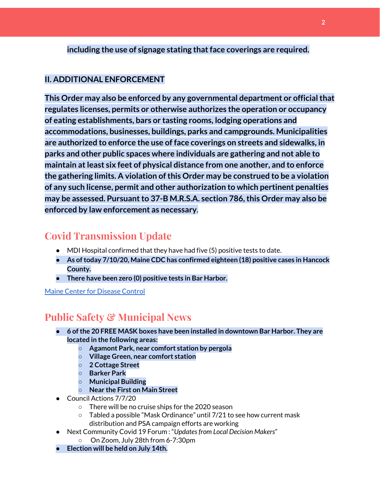#### **including the use of signage stating thatface coverings are required.**

#### **II. ADDITIONAL ENFORCEMENT**

**This Order may also be enforced by any governmental department or officialthat regulates licenses, permits or otherwise authorizes the operation or occupancy of eating establishments, bars or tasting rooms, lodging operations and accommodations, businesses, buildings, parks and campgrounds. Municipalities are authorized to enforce the use of face coverings on streets and sidewalks, in parks and other public spaces where individuals are gathering and not able to maintain atleast six feet of physical distance from one another, and to enforce the gathering limits. A violation ofthis Order may be construed to be a violation of any such license, permit and other authorization to which pertinent penalties may** be assessed. Pursuant to 37-B M.R.S.A. section 786, this Order may also be **enforced by law enforcement as necessary**.

### **Covid Transmission Update**

- $\bullet$  MDI Hospital confirmed that they have had five (5) positive tests to date.
- **● As oftoday 7/10/20, Maine CDC has confirmed eighteen (18) positive cases in Hancock County.**
- **● There have been zero (0) positive tests in Bar Harbor.**

Maine Center for [Disease](https://www.maine.gov/dhhs/mecdc/infectious-disease/epi/airborne/coronavirus.shtml) Control

## **Public Safety & Municipal News**

- **● 6 ofthe 20 FREE MASK boxes have been installed in downtown Bar Harbor. They are located in the following areas:**
	- **○ Agamont Park, near comfort station by pergola**
	- **○ Village Green, near comfort station**
	- **○ 2 Cottage Street**
	- **○ Barker Park**
	- **○ Municipal Building**
	- **○ Near the First on Main Street**
- Council Actions 7/7/20
	- There will be no cruise ships for the 2020 season
	- $\circ$  Tabled a possible "Mask Ordinance" until 7/21 to see how current mask distribution and PSA campaign efforts are working
- Next Community Covid 19 Forum : "*Updatesfrom Local Decision Makers*"
	- On Zoom, July 28th from 6-7:30pm
- **● Election will be held on July 14th.**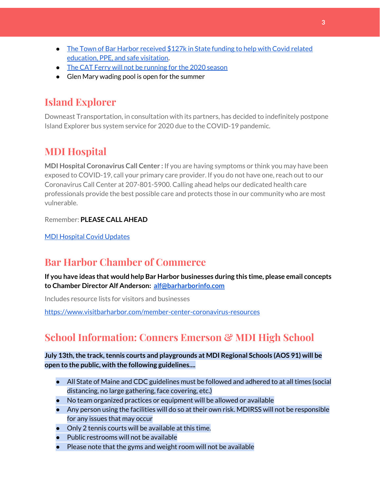- The Town of Bar Harbor [received](https://www.maine.gov/governor/mills/news/mills-administration-approves-covid-19-prevention-and-protection-grant-awards-municipalities) \$127k in State funding to help with Covid related [education,](https://www.maine.gov/governor/mills/news/mills-administration-approves-covid-19-prevention-and-protection-grant-awards-municipalities) PPE, and safe visitation.
- The CAT Ferry will not be [running](https://www.ferries.ca/) for the 2020 season
- Glen Mary wading pool is open for the summer

# **Island Explorer**

Downeast Transportation, in consultation with its partners, has decided to indefinitely postpone Island Explorer bus system service for 2020 due to the COVID-19 pandemic.

## **MDI Hospital**

**MDI Hospital Coronavirus Call Center :** If you are having symptoms or think you may have been exposed to COVID-19, call your primary care provider. If you do not have one, reach out to our Coronavirus Call Center at 207-801-5900. Calling ahead helps our dedicated health care professionals provide the best possible care and protects those in our community who are most vulnerable.

Remember: **PLEASE CALL AHEAD**

MDI [Hospital](https://www.mdihospital.org/covid-19/?fbclid=IwAR2Q31t4a6H1pxDfUeqSzFcmp5UbRlSwe93i58zEkHstfexp5EgoHB5cxGU) Covid Updates

## **Bar Harbor Chamber of Commerce**

**If you have ideas that would help Bar Harbor businesses during this time, please email concepts to Chamber Director Alf Anderson: [alf@barharborinfo.com](mailto:alf@barharborinfo.com)**

Includes resource lists for visitors and businesses

<https://www.visitbarharbor.com/member-center-coronavirus-resources>

# **School Information: Conners Emerson & MDI High School**

#### **July 13th,the track,tennis courts and playgrounds at MDI Regional Schools (AOS 91) will be open to the public, with the following guidelines....**

- All State of Maine and CDC guidelines must be followed and adhered to at all times (social distancing, no large gathering, face covering, etc.)
- No team organized practices or equipment will be allowed or available
- Any person using the facilities will do so at their own risk. MDIRSS will not be responsible for any issues that may occur
- Only 2 tennis courts will be available at this time.
- Public restrooms will not be available
- Please note that the gyms and weight room will not be available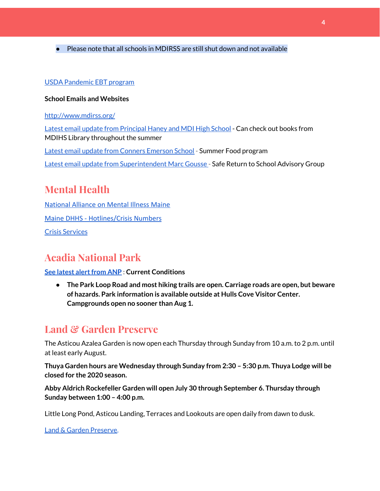● Please note that all schools in MDIRSS are still shut down and not available

#### USDA [Pandemic](http://track.spe.schoolmessenger.com/f/a/j6GQx4nFl3Rld4Q68tYCuA~~/AAAAAQA~/RgRgu5_JP0SlaHR0cHM6Ly9tYWlsLmdvb2dsZS5jb20vbWFpbC91LzAvP3RhYj1jbSNzZWFyY2gvZnJvbSUzQStiZWVzbGV5L1doY3RLSlZyQ0NUS1JmUldCTFdkUVpGZ2pUVlhNdkRwUVpIa2NoRkJCc3NGcHJxZEtnWFF3S05Tamt3R1RxTFpaS21wTkRHP3Byb2plY3Rvcj0xJm1lc3NhZ2VQYXJ0SWQ9MC4xVwdzY2hvb2xtQgoARkls2l72Ls-jUhhiYXJoYXJib3JqZXdlbEBnbWFpbC5jb21YBAAAAAE~) EBT program

#### **School Emails and Websites**

<http://www.mdirss.org/>

Latest email update from [Principal](https://docs.google.com/document/d/1OKDsYNtOgV0FI9xAcXwQvenOKLV0S2vBg1o5jtu5CrE/edit?usp=sharing) Haney and MDI High School - Can check out books from MDIHS Library throughout the summer

Latest email update from Conners [Emerson](https://docs.google.com/document/d/1v3pgkG6Q-9S3gisuUIj4etPVDwgBKl4P00JBkvZr-kk/edit?usp=sharing) School - Summer Food program

Latest email update from [Superintendent](https://docs.google.com/document/d/1fzeCbc8gpTSKmUaDoQH1Avx5PVl-h0reFphXrT1eUNA/edit?usp=sharing) Marc Gousse - Safe Return to School Advisory Group

## **Mental Health**

[National Alliance on Mental Illness Maine](https://www.namimaine.org/) [Maine DHHS - Hotlines/Crisis Numbers](https://www.maine.gov/dhhs/hotlines.shtml) Crisis [Services](https://www.sweetser.org/programs-services/services-for-adults/crisis-services/)

# **Acadia National Park**

#### **See latest alert from ANP : Current Conditions**

**● The Park Loop Road and most hiking trails are open. Carriage roads are open, but beware of hazards. Park information is available outside at Hulls Cove Visitor Center. Campgrounds open no sooner than Aug 1.**

## **Land & Garden Preserve**

The Asticou Azalea Garden is now open each Thursday through Sunday from 10 a.m. to 2 p.m. until at least early August.

**Thuya Garden hours are Wednesday through Sunday from 2:30 – 5:30 p.m. Thuya Lodge will be closed for the 2020 season.**

**Abby Aldrich Rockefeller Garden will open July 30 through September 6. Thursday through Sunday between 1:00 – 4:00 p.m.**

Little Long Pond, Asticou Landing, Terraces and Lookouts are open daily from dawn to dusk.

Land & Garden [Preserve.](https://www.gardenpreserve.org/)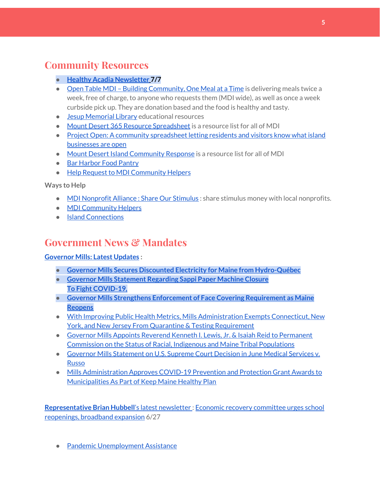## **Community Resources**

- **● Healthy Acadia [Newsletter](https://mailchi.mp/healthyacadia.org/july7_2020) [7](https://mailchi.mp/healthyacadia.org/july7_2020)/7**
- Open Table MDI Building [Community,](https://www.opentablemdi.org/) One Meal at a Time is delivering meals twice a week, free of charge, to anyone who requests them (MDI wide), as well as once a week curbside pick up. They are donation based and the food is healthy and tasty.
- Jesup [Memorial](https://jesuplibrary.org/) Library educational resources
- Mount Desert 365 Resource [Spreadsheet](https://docs.google.com/spreadsheets/d/1okAx6HSsgXZY9CGH07Dzi6rqe7a6m4dLCPKot2Li7Ek/edit?usp=sharing) is a resource list for all of MDI
- Project Open: A community [spreadsheet](https://docs.google.com/spreadsheets/d/1dBicBiBXGzzWEFd9oqL7EBDbFWjDCPl6SSMea_Kt4pc/htmlview#) letting residents and visitors know what island [businesses](https://docs.google.com/spreadsheets/d/1dBicBiBXGzzWEFd9oqL7EBDbFWjDCPl6SSMea_Kt4pc/htmlview#) are open
- Mount Desert Island [Community](https://www.mdicr.org/) Response is a resource list for all of MDI
- Bar [Harbor](https://www.barharborfoodpantry.org/) Food Pantry
- Help Request to MDI [Community](https://docs.google.com/forms/d/e/1FAIpQLSeZfu0tCcthHc9oL7tPomVRdniYiE7nbT_kkK9iCSRgqDhOvQ/viewform) Helpers

**Ways to Help**

- MDI [Nonprofit](https://sites.google.com/mdina.org/public/sos-mdi?authuser=0) Alliance : Share Our Stimulus : share stimulus money with local nonprofits.
- MDI [Community](https://docs.google.com/forms/d/e/1FAIpQLSe_CJUFdVvwJkmymWRqUeK8bx3m7n4uSOuUPYHqXSAyH2DBoQ/viewform?fbclid=IwAR25hjnWGhnMP0lOWMcBPRBumhtQCJGZO4hlk-T-VjNGZljL1kVX5pWrL6U) Helpers
- Island [Connections](http://islconnections.org/contact-us/)

## **Government News & Mandates**

#### **[Governor](https://www.maine.gov/governor/mills/) Mills: Latest Updates :**

- **● Governor Mills Secures Discounted Electricity for Maine from [Hydro-Québec](https://www.maine.gov/governor/mills/news/governor-mills-secures-discounted-electricity-maine-hydro-quebec-2020-07-10)**
- **● Governor Mills [Statement](https://www.maine.gov/governor/mills/news/governor-mills-statement-regarding-sappi-paper-machine-closure-2020-07-09) Regarding Sappi Paper Machine Closure To Fight [COVID-19,](https://www.maine.gov/governor/mills/news/fight-covid-19-governor-mills-strengthens-enforcement-face-covering-requirement-maine-reopens)**
- **● Governor Mills Strengthens Enforcement of Face Covering [Requirement](https://www.maine.gov/governor/mills/news/fight-covid-19-governor-mills-strengthens-enforcement-face-covering-requirement-maine-reopens) as Maine [Reopens](https://www.maine.gov/governor/mills/news/fight-covid-19-governor-mills-strengthens-enforcement-face-covering-requirement-maine-reopens)**
- With Improving Public Health Metrics, Mills [Administration](https://www.maine.gov/governor/mills/news/improving-public-health-metrics-mills-administration-exempts-connecticut-new-york-and-new) Exempts Connecticut, New York, and New Jersey From Quarantine & Testing [Requirement](https://www.maine.gov/governor/mills/news/improving-public-health-metrics-mills-administration-exempts-connecticut-new-york-and-new)
- Governor Mills Appoints Reverend Kenneth I. Lewis, Jr. & Isaiah Reid to [Permanent](https://www.maine.gov/governor/mills/news/governor-mills-appoints-reverend-kenneth-i-lewis-jr-isaiah-reid-permanent-commission-status) [Commission](https://www.maine.gov/governor/mills/news/governor-mills-appoints-reverend-kenneth-i-lewis-jr-isaiah-reid-permanent-commission-status) on the Status of Racial, Indigenous and Maine Tribal Populations
- Governor Mills [Statement](https://www.maine.gov/governor/mills/news/governor-mills-statement-us-supreme-court-decision-june-medical-services-v-russo-2020-06-29) on U.S. Supreme Court Decision in June Medical Services v. [Russo](https://www.maine.gov/governor/mills/news/governor-mills-statement-us-supreme-court-decision-june-medical-services-v-russo-2020-06-29)
- Mills [Administration](https://www.maine.gov/governor/mills/news/mills-administration-approves-covid-19-prevention-and-protection-grant-awards-municipalities) Approves COVID-19 Prevention and Protection Grant Awards to [Municipalities](https://www.maine.gov/governor/mills/news/mills-administration-approves-covid-19-prevention-and-protection-grant-awards-municipalities) As Part of Keep Maine Healthy Plan

**[Representative](http://www.rephubbell.com/) Brian Hubbell**'s latest [newsletter](http://www.rephubbell.com/) : Economic recovery [committee](http://www.rephubbell.com/2020/06/27/economic-recovery-committee-urges-school-reopenings-broadband-expansion/) urges school [reopenings,](http://www.rephubbell.com/2020/06/27/economic-recovery-committee-urges-school-reopenings-broadband-expansion/) broadband expansion 6/27

● Pandemic [Unemployment](https://www.maine.gov/unemployment/pua/) Assistance